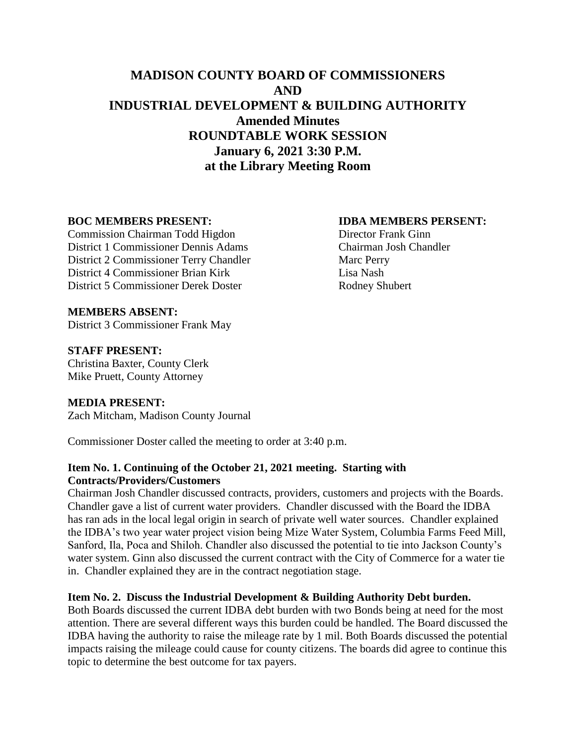# **MADISON COUNTY BOARD OF COMMISSIONERS AND INDUSTRIAL DEVELOPMENT & BUILDING AUTHORITY Amended Minutes ROUNDTABLE WORK SESSION January 6, 2021 3:30 P.M. at the Library Meeting Room**

Commission Chairman Todd Higdon Director Frank Ginn District 1 Commissioner Dennis Adams Chairman Josh Chandler District 2 Commissioner Terry Chandler Marc Perry District 4 Commissioner Brian Kirk Lisa Nash District 5 Commissioner Derek Doster Rodney Shubert

#### **BOC MEMBERS PRESENT: IDBA MEMBERS PERSENT:**

#### **MEMBERS ABSENT:** District 3 Commissioner Frank May

# **STAFF PRESENT:**

Christina Baxter, County Clerk Mike Pruett, County Attorney

# **MEDIA PRESENT:**

Zach Mitcham, Madison County Journal

Commissioner Doster called the meeting to order at 3:40 p.m.

# **Item No. 1. Continuing of the October 21, 2021 meeting. Starting with Contracts/Providers/Customers**

Chairman Josh Chandler discussed contracts, providers, customers and projects with the Boards. Chandler gave a list of current water providers. Chandler discussed with the Board the IDBA has ran ads in the local legal origin in search of private well water sources. Chandler explained the IDBA's two year water project vision being Mize Water System, Columbia Farms Feed Mill, Sanford, Ila, Poca and Shiloh. Chandler also discussed the potential to tie into Jackson County's water system. Ginn also discussed the current contract with the City of Commerce for a water tie in. Chandler explained they are in the contract negotiation stage.

# **Item No. 2. Discuss the Industrial Development & Building Authority Debt burden.**

Both Boards discussed the current IDBA debt burden with two Bonds being at need for the most attention. There are several different ways this burden could be handled. The Board discussed the IDBA having the authority to raise the mileage rate by 1 mil. Both Boards discussed the potential impacts raising the mileage could cause for county citizens. The boards did agree to continue this topic to determine the best outcome for tax payers.